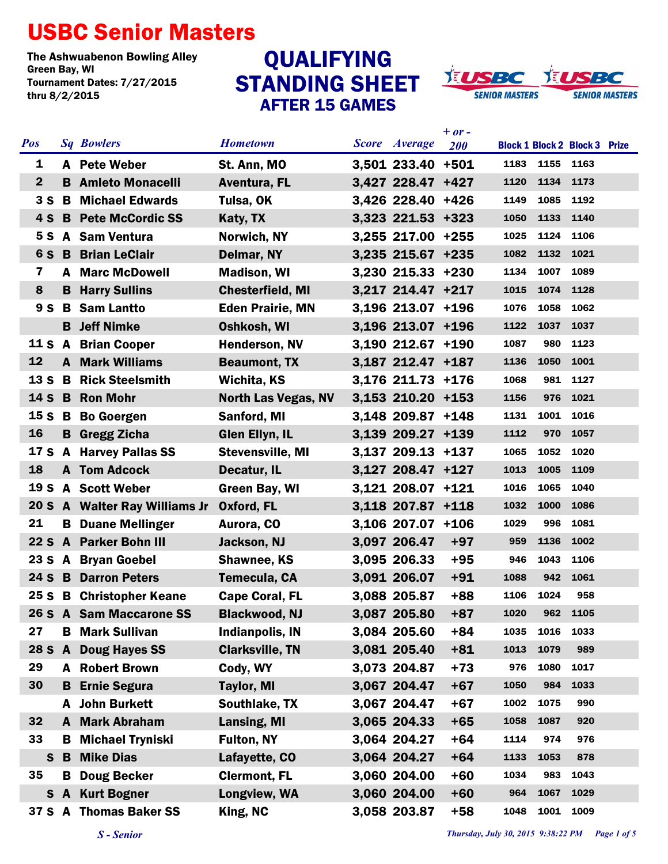## USBC Senior Masters

The Ashwuabenon Bowling Alley<br>Green Bay, WI Tournament Dates: 7/27/2015 thru 8/2/2015

## STANDING SHEET AFTER 15 GAMES QUALIFYING



| <b>Pos</b>      |     | <b>Sq Bowlers</b>             | <b>Hometown</b>            | <b>Score</b> <i>Average</i> | $+ or -$<br><b>200</b> |      |           | <b>Block 1 Block 2 Block 3 Prize</b> |  |
|-----------------|-----|-------------------------------|----------------------------|-----------------------------|------------------------|------|-----------|--------------------------------------|--|
| 1               |     | A Pete Weber                  | St. Ann, MO                | 3,501 233.40 +501           |                        | 1183 | 1155 1163 |                                      |  |
| $\mathbf{2}$    |     | <b>B</b> Amleto Monacelli     | Aventura, FL               | 3,427 228.47 +427           |                        | 1120 | 1134      | 1173                                 |  |
| 3S              | B   | <b>Michael Edwards</b>        | Tulsa, OK                  | 3,426 228.40 +426           |                        | 1149 | 1085      | 1192                                 |  |
| 4S              |     | <b>B</b> Pete McCordic SS     | Katy, TX                   | 3,323 221.53 +323           |                        | 1050 | 1133      | 1140                                 |  |
| 5 S             |     | A Sam Ventura                 | Norwich, NY                | 3,255 217.00 +255           |                        | 1025 | 1124      | 1106                                 |  |
| 6 S             | B   | <b>Brian LeClair</b>          | Delmar, NY                 | 3,235 215.67 +235           |                        | 1082 | 1132      | 1021                                 |  |
| $\mathbf{7}$    | A   | <b>Marc McDowell</b>          | <b>Madison, WI</b>         | $3,230$ 215.33 +230         |                        | 1134 | 1007      | 1089                                 |  |
| 8               | B.  | <b>Harry Sullins</b>          | <b>Chesterfield, MI</b>    | 3,217 214.47 +217           |                        | 1015 | 1074      | 1128                                 |  |
| 9 <sub>S</sub>  |     | <b>B</b> Sam Lantto           | <b>Eden Prairie, MN</b>    | 3,196 213.07 +196           |                        | 1076 | 1058      | 1062                                 |  |
|                 |     | <b>B</b> Jeff Nimke           | Oshkosh, WI                | 3,196 213.07 +196           |                        | 1122 | 1037      | 1037                                 |  |
| 11 S A          |     | <b>Brian Cooper</b>           | <b>Henderson, NV</b>       | 3,190 212.67 +190           |                        | 1087 | 980       | 1123                                 |  |
| 12              |     | <b>A</b> Mark Williams        | <b>Beaumont, TX</b>        | 3,187 212.47 +187           |                        | 1136 | 1050      | 1001                                 |  |
| 13 <sub>S</sub> |     | <b>B</b> Rick Steelsmith      | Wichita, KS                | 3,176 211.73 +176           |                        | 1068 | 981       | 1127                                 |  |
| 14 S            | B   | <b>Ron Mohr</b>               | <b>North Las Vegas, NV</b> | $3,153$ 210.20 +153         |                        | 1156 | 976       | 1021                                 |  |
| 15 <sub>S</sub> |     | <b>B</b> Bo Goergen           | Sanford, MI                | 3,148 209.87 +148           |                        | 1131 | 1001      | 1016                                 |  |
| 16              |     | <b>B</b> Gregg Zicha          | <b>Glen Ellyn, IL</b>      | 3,139 209.27 +139           |                        | 1112 | 970       | 1057                                 |  |
| 17 S            |     | <b>A</b> Harvey Pallas SS     | <b>Stevensville, MI</b>    | 3,137 209.13 +137           |                        | 1065 | 1052      | 1020                                 |  |
| 18              |     | <b>A</b> Tom Adcock           | Decatur, IL                | 3,127 208.47 +127           |                        | 1013 | 1005      | 1109                                 |  |
| 19 S            |     | A Scott Weber                 | Green Bay, WI              | 3,121 208.07 +121           |                        | 1016 | 1065      | 1040                                 |  |
|                 |     | 20 S A Walter Ray Williams Jr | Oxford, FL                 | 3,118 207.87 +118           |                        | 1032 | 1000      | 1086                                 |  |
| 21              |     | <b>B</b> Duane Mellinger      | Aurora, CO                 | 3,106 207.07 +106           |                        | 1029 | 996       | 1081                                 |  |
| 22 <sub>S</sub> |     | <b>A</b> Parker Bohn III      | Jackson, NJ                | 3,097 206.47                | $+97$                  | 959  | 1136      | 1002                                 |  |
| 23 <sub>S</sub> |     | <b>A</b> Bryan Goebel         | <b>Shawnee, KS</b>         | 3,095 206.33                | $+95$                  | 946  | 1043      | 1106                                 |  |
|                 |     | <b>24 S B Darron Peters</b>   | Temecula, CA               | 3,091 206.07                | $+91$                  | 1088 | 942       | 1061                                 |  |
| 25 <sub>S</sub> |     | <b>B</b> Christopher Keane    | <b>Cape Coral, FL</b>      | 3,088 205.87                | $+88$                  | 1106 | 1024      | 958                                  |  |
|                 |     | 26 S A Sam Maccarone SS       | <b>Blackwood, NJ</b>       | 3,087 205.80                | $+87$                  | 1020 | 962       | 1105                                 |  |
| 27              |     | <b>B</b> Mark Sullivan        | Indianpolis, IN            | 3,084 205.60                | $+84$                  | 1035 | 1016      | 1033                                 |  |
| 28 S A          |     | <b>Doug Hayes SS</b>          | <b>Clarksville, TN</b>     | 3,081 205.40                | $+81$                  | 1013 | 1079      | 989                                  |  |
| 29              | A   | <b>Robert Brown</b>           | Cody, WY                   | 3,073 204.87                | $+73$                  | 976  | 1080      | 1017                                 |  |
| 30              | B   | <b>Ernie Segura</b>           | <b>Taylor, MI</b>          | 3,067 204.47                | $+67$                  | 1050 | 984       | 1033                                 |  |
|                 | A   | <b>John Burkett</b>           | Southlake, TX              | 3,067 204.47                | $+67$                  | 1002 | 1075      | 990                                  |  |
| 32              | A   | <b>Mark Abraham</b>           | <b>Lansing, MI</b>         | 3,065 204.33                | $+65$                  | 1058 | 1087      | 920                                  |  |
| 33              | B.  | <b>Michael Tryniski</b>       | <b>Fulton, NY</b>          | 3,064 204.27                | $+64$                  | 1114 | 974       | 976                                  |  |
| $\mathbf{s}$    | B   | <b>Mike Dias</b>              | Lafayette, CO              | 3,064 204.27                | $+64$                  | 1133 | 1053      | 878                                  |  |
| 35              | в   | <b>Doug Becker</b>            | <b>Clermont, FL</b>        | 3,060 204.00                | $+60$                  | 1034 | 983       | 1043                                 |  |
|                 | S A | <b>Kurt Bogner</b>            | Longview, WA               | 3,060 204.00                | $+60$                  | 964  | 1067      | 1029                                 |  |
|                 |     | 37 S A Thomas Baker SS        | King, NC                   | 3,058 203.87                | $+58$                  | 1048 | 1001 1009 |                                      |  |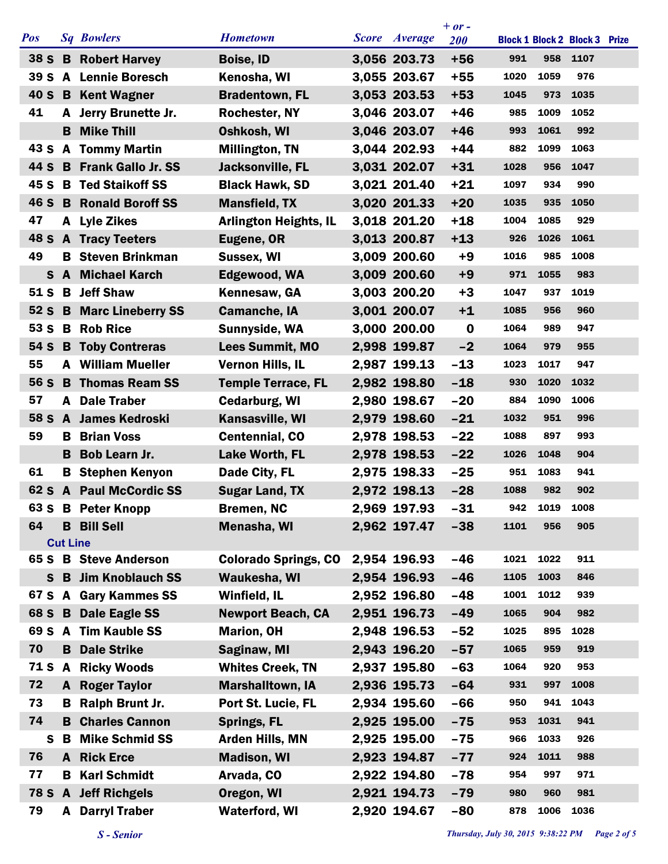|                 |                 |                             |                              |               | $+ or -$   |      |      |                                      |  |
|-----------------|-----------------|-----------------------------|------------------------------|---------------|------------|------|------|--------------------------------------|--|
| <b>Pos</b>      |                 | <b>Sq Bowlers</b>           | <b>Hometown</b>              | Score Average | <b>200</b> |      |      | <b>Block 1 Block 2 Block 3 Prize</b> |  |
| 38 S            |                 | <b>B</b> Robert Harvey      | <b>Boise, ID</b>             | 3,056 203.73  | $+56$      | 991  | 958  | 1107                                 |  |
| 39 <sub>5</sub> |                 | <b>A</b> Lennie Boresch     | Kenosha, WI                  | 3,055 203.67  | $+55$      | 1020 | 1059 | 976                                  |  |
| 40 S            |                 | <b>B</b> Kent Wagner        | <b>Bradentown, FL</b>        | 3,053 203.53  | $+53$      | 1045 | 973  | 1035                                 |  |
| 41              |                 | A Jerry Brunette Jr.        | Rochester, NY                | 3,046 203.07  | $+46$      | 985  | 1009 | 1052                                 |  |
|                 | B.              | <b>Mike Thill</b>           | Oshkosh, WI                  | 3,046 203.07  | $+46$      | 993  | 1061 | 992                                  |  |
| 43 S            | $\mathbf{A}$    | <b>Tommy Martin</b>         | <b>Millington, TN</b>        | 3,044 202.93  | $+44$      | 882  | 1099 | 1063                                 |  |
| 44 S            |                 | <b>B</b> Frank Gallo Jr. SS | <b>Jacksonville, FL</b>      | 3,031 202.07  | $+31$      | 1028 | 956  | 1047                                 |  |
| 45 S            |                 | <b>B</b> Ted Staikoff SS    | <b>Black Hawk, SD</b>        | 3,021 201.40  | $+21$      | 1097 | 934  | 990                                  |  |
| 46 S            |                 | <b>B</b> Ronald Boroff SS   | <b>Mansfield, TX</b>         | 3,020 201.33  | $+20$      | 1035 | 935  | 1050                                 |  |
| 47              |                 | A Lyle Zikes                | <b>Arlington Heights, IL</b> | 3,018 201.20  | $+18$      | 1004 | 1085 | 929                                  |  |
| 48 S            |                 | <b>A</b> Tracy Teeters      | Eugene, OR                   | 3,013 200.87  | $+13$      | 926  | 1026 | 1061                                 |  |
| 49              | В               | <b>Steven Brinkman</b>      | Sussex, WI                   | 3,009 200.60  | $+9$       | 1016 | 985  | 1008                                 |  |
| $\mathbf{s}$    |                 | <b>A</b> Michael Karch      | Edgewood, WA                 | 3,009 200.60  | $+9$       | 971  | 1055 | 983                                  |  |
| 51 S            | B               | <b>Jeff Shaw</b>            | Kennesaw, GA                 | 3,003 200.20  | $+3$       | 1047 | 937  | 1019                                 |  |
| 52S             |                 | <b>B</b> Marc Lineberry SS  | <b>Camanche, IA</b>          | 3,001 200.07  | $+1$       | 1085 | 956  | 960                                  |  |
| 53 S            |                 | <b>B</b> Rob Rice           | Sunnyside, WA                | 3,000 200.00  | $\bf{0}$   | 1064 | 989  | 947                                  |  |
| 54 S            |                 | <b>B</b> Toby Contreras     | <b>Lees Summit, MO</b>       | 2,998 199.87  | $-2$       | 1064 | 979  | 955                                  |  |
| 55              |                 | <b>A</b> William Mueller    | <b>Vernon Hills, IL</b>      | 2,987 199.13  | $-13$      | 1023 | 1017 | 947                                  |  |
| 56 S            |                 | <b>B</b> Thomas Ream SS     | <b>Temple Terrace, FL</b>    | 2,982 198.80  | $-18$      | 930  | 1020 | 1032                                 |  |
| 57              |                 | A Dale Traber               | <b>Cedarburg, WI</b>         | 2,980 198.67  | $-20$      | 884  | 1090 | 1006                                 |  |
| 58 S            |                 | A James Kedroski            | Kansasville, WI              | 2,979 198.60  | $-21$      | 1032 | 951  | 996                                  |  |
| 59              | B.              | <b>Brian Voss</b>           | <b>Centennial, CO</b>        | 2,978 198.53  | $-22$      | 1088 | 897  | 993                                  |  |
|                 |                 | <b>B</b> Bob Learn Jr.      | <b>Lake Worth, FL</b>        | 2,978 198.53  | $-22$      | 1026 | 1048 | 904                                  |  |
| 61              |                 | <b>B</b> Stephen Kenyon     | Dade City, FL                | 2,975 198.33  | $-25$      | 951  | 1083 | 941                                  |  |
| 62 S            |                 | <b>A</b> Paul McCordic SS   | <b>Sugar Land, TX</b>        | 2,972 198.13  | $-28$      | 1088 | 982  | 902                                  |  |
|                 |                 | 63 S B Peter Knopp          | Bremen, NC                   | 2,969 197.93  | $-31$      | 942  | 1019 | 1008                                 |  |
| 64              |                 | <b>B</b> Bill Sell          | <b>Menasha, WI</b>           | 2,962 197.47  | $-38$      | 1101 | 956  | 905                                  |  |
|                 | <b>Cut Line</b> |                             |                              |               |            |      |      |                                      |  |
|                 |                 | 65 S B Steve Anderson       | <b>Colorado Springs, CO</b>  | 2,954 196.93  | $-46$      | 1021 | 1022 | 911                                  |  |
| S.              |                 | <b>B</b> Jim Knoblauch SS   | Waukesha, WI                 | 2,954 196.93  | $-46$      | 1105 | 1003 | 846                                  |  |
|                 |                 | 67 S A Gary Kammes SS       | Winfield, IL                 | 2,952 196.80  | $-48$      | 1001 | 1012 | 939                                  |  |
| 68 S            |                 | <b>B</b> Dale Eagle SS      | <b>Newport Beach, CA</b>     | 2,951 196.73  | $-49$      | 1065 | 904  | 982                                  |  |
|                 |                 | 69 S A Tim Kauble SS        | <b>Marion, OH</b>            | 2,948 196.53  | $-52$      | 1025 | 895  | 1028                                 |  |
| 70              |                 | <b>B</b> Dale Strike        | Saginaw, MI                  | 2,943 196.20  | $-57$      | 1065 | 959  | 919                                  |  |
| 71 S            | A               | <b>Ricky Woods</b>          | <b>Whites Creek, TN</b>      | 2,937 195.80  | $-63$      | 1064 | 920  | 953                                  |  |
| 72              |                 | <b>A</b> Roger Taylor       | <b>Marshalltown, IA</b>      | 2,936 195.73  | $-64$      | 931  | 997  | 1008                                 |  |
| 73              | B.              | Ralph Brunt Jr.             | Port St. Lucie, FL           | 2,934 195.60  | $-66$      | 950  | 941  | 1043                                 |  |
| 74              |                 | <b>B</b> Charles Cannon     | <b>Springs, FL</b>           | 2,925 195.00  | $-75$      | 953  | 1031 | 941                                  |  |
| S               | B               | <b>Mike Schmid SS</b>       | Arden Hills, MN              | 2,925 195.00  | $-75$      | 966  | 1033 | 926                                  |  |
| 76              |                 | <b>A</b> Rick Erce          | <b>Madison, WI</b>           | 2,923 194.87  | $-77$      | 924  | 1011 | 988                                  |  |
| 77              | В               | <b>Karl Schmidt</b>         | Arvada, CO                   | 2,922 194.80  | $-78$      | 954  | 997  | 971                                  |  |
|                 |                 | 78 S A Jeff Richgels        | Oregon, WI                   | 2,921 194.73  | $-79$      | 980  | 960  | 981                                  |  |
| 79              |                 | <b>A</b> Darryl Traber      | <b>Waterford, WI</b>         | 2,920 194.67  | $-80$      | 878  | 1006 | 1036                                 |  |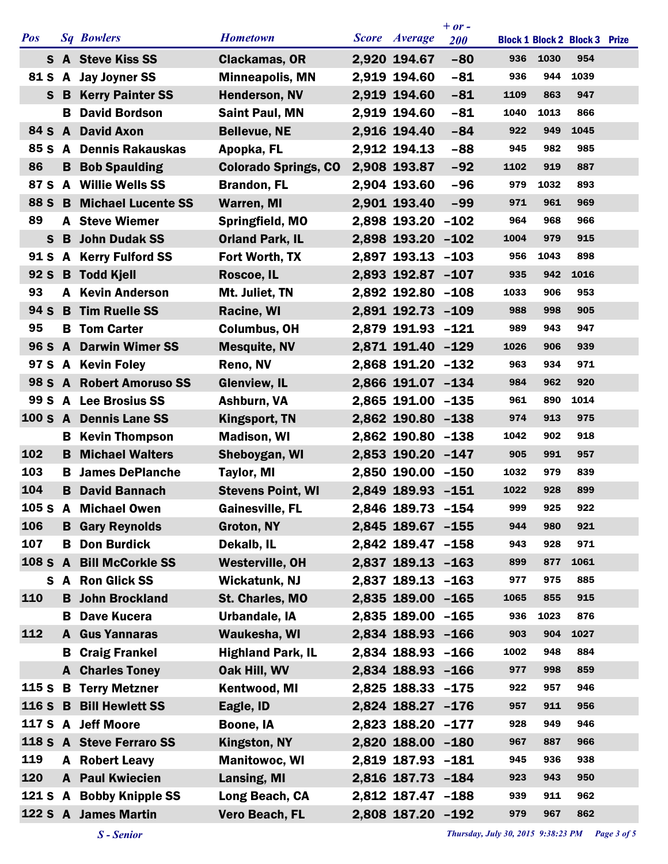|                 |              |                           |                             |                   | $+$ or $-$ |      |      |                                      |  |
|-----------------|--------------|---------------------------|-----------------------------|-------------------|------------|------|------|--------------------------------------|--|
| <b>Pos</b>      |              | <b>Sq Bowlers</b>         | <b>Hometown</b>             | Score Average     | <b>200</b> |      |      | <b>Block 1 Block 2 Block 3 Prize</b> |  |
|                 |              | S A Steve Kiss SS         | <b>Clackamas, OR</b>        | 2,920 194.67      | $-80$      | 936  | 1030 | 954                                  |  |
| 81 S            |              | A Jay Joyner SS           | <b>Minneapolis, MN</b>      | 2,919 194.60      | $-81$      | 936  | 944  | 1039                                 |  |
| S.              | B            | <b>Kerry Painter SS</b>   | <b>Henderson, NV</b>        | 2,919 194.60      | $-81$      | 1109 | 863  | 947                                  |  |
|                 | B.           | <b>David Bordson</b>      | <b>Saint Paul, MN</b>       | 2,919 194.60      | $-81$      | 1040 | 1013 | 866                                  |  |
| 84 S            | A            | <b>David Axon</b>         | <b>Bellevue, NE</b>         | 2,916 194.40      | $-84$      | 922  | 949  | 1045                                 |  |
| 85 S            | $\mathbf{A}$ | <b>Dennis Rakauskas</b>   | Apopka, FL                  | 2,912 194.13      | $-88$      | 945  | 982  | 985                                  |  |
| 86              |              | <b>B</b> Bob Spaulding    | <b>Colorado Springs, CO</b> | 2,908 193.87      | $-92$      | 1102 | 919  | 887                                  |  |
| 87 S            |              | A Willie Wells SS         | <b>Brandon, FL</b>          | 2,904 193.60      | $-96$      | 979  | 1032 | 893                                  |  |
| 88 S            | B.           | <b>Michael Lucente SS</b> | <b>Warren, MI</b>           | 2,901 193.40      | $-99$      | 971  | 961  | 969                                  |  |
| 89              | A            | <b>Steve Wiemer</b>       | Springfield, MO             | 2,898 193.20 -102 |            | 964  | 968  | 966                                  |  |
| $\mathbf{s}$    | B            | <b>John Dudak SS</b>      | <b>Orland Park, IL</b>      | 2,898 193.20 -102 |            | 1004 | 979  | 915                                  |  |
| 91 S            |              | <b>A</b> Kerry Fulford SS | Fort Worth, TX              | 2,897 193.13      | $-103$     | 956  | 1043 | 898                                  |  |
| 92 <sub>S</sub> |              | <b>B</b> Todd Kjell       | Roscoe, IL                  | 2,893 192.87 -107 |            | 935  | 942  | 1016                                 |  |
| 93              | A            | <b>Kevin Anderson</b>     | Mt. Juliet, TN              | 2,892 192.80 -108 |            | 1033 | 906  | 953                                  |  |
| 94 S            |              | <b>B</b> Tim Ruelle SS    | <b>Racine, WI</b>           | 2,891 192.73 -109 |            | 988  | 998  | 905                                  |  |
| 95              |              | <b>B</b> Tom Carter       | <b>Columbus, OH</b>         | 2,879 191.93 -121 |            | 989  | 943  | 947                                  |  |
| 96 S            | $\mathbf{A}$ | <b>Darwin Wimer SS</b>    | <b>Mesquite, NV</b>         | 2,871 191.40 -129 |            | 1026 | 906  | 939                                  |  |
| 97 S            |              | A Kevin Foley             | Reno, NV                    | 2,868 191.20 -132 |            | 963  | 934  | 971                                  |  |
| 98 S A          |              | <b>Robert Amoruso SS</b>  | <b>Glenview, IL</b>         | 2,866 191.07 -134 |            | 984  | 962  | 920                                  |  |
| 99 S            |              | A Lee Brosius SS          | Ashburn, VA                 | 2,865 191.00 -135 |            | 961  | 890  | 1014                                 |  |
| 100 S A         |              | <b>Dennis Lane SS</b>     | <b>Kingsport, TN</b>        | 2,862 190.80 -138 |            | 974  | 913  | 975                                  |  |
|                 | В            | <b>Kevin Thompson</b>     | <b>Madison, WI</b>          | 2,862 190.80 -138 |            | 1042 | 902  | 918                                  |  |
| 102             | B            | <b>Michael Walters</b>    | Sheboygan, WI               | 2,853 190.20 -147 |            | 905  | 991  | 957                                  |  |
| 103             | в            | <b>James DePlanche</b>    | <b>Taylor, MI</b>           | 2,850 190.00 -150 |            | 1032 | 979  | 839                                  |  |
| 104             | B            | <b>David Bannach</b>      | <b>Stevens Point, WI</b>    | 2,849 189.93 -151 |            | 1022 | 928  | 899                                  |  |
| 105 S A         |              | <b>Michael Owen</b>       | <b>Gainesville, FL</b>      | 2,846 189.73 -154 |            | 999  | 925  | 922                                  |  |
| 106             | B.           | <b>Gary Reynolds</b>      | Groton, NY                  | 2,845 189.67 -155 |            | 944  | 980  | 921                                  |  |
| 107             | В            | <b>Don Burdick</b>        | Dekalb, IL                  | 2,842 189.47 -158 |            | 943  | 928  | 971                                  |  |
| 108 S           | $\mathbf{A}$ | <b>Bill McCorkle SS</b>   | <b>Westerville, OH</b>      | 2,837 189.13 -163 |            | 899  | 877  | 1061                                 |  |
| S               |              | A Ron Glick SS            | <b>Wickatunk, NJ</b>        | 2,837 189.13 -163 |            | 977  | 975  | 885                                  |  |
| 110             |              | <b>B</b> John Brockland   | St. Charles, MO             | 2,835 189.00 -165 |            | 1065 | 855  | 915                                  |  |
|                 | в            | <b>Dave Kucera</b>        | Urbandale, IA               | 2,835 189.00 -165 |            | 936  | 1023 | 876                                  |  |
| 112             | A            | <b>Gus Yannaras</b>       | Waukesha, WI                | 2,834 188.93 -166 |            | 903  | 904  | 1027                                 |  |
|                 | B.           | <b>Craig Frankel</b>      | <b>Highland Park, IL</b>    | 2,834 188.93 -166 |            | 1002 | 948  | 884                                  |  |
|                 |              | <b>A</b> Charles Toney    | Oak Hill, WV                | 2,834 188.93 -166 |            | 977  | 998  | 859                                  |  |
| 115S            |              | <b>B</b> Terry Metzner    | Kentwood, MI                | 2,825 188.33 -175 |            | 922  | 957  | 946                                  |  |
| 116 S           | B            | <b>Bill Hewlett SS</b>    | Eagle, ID                   | 2,824 188.27 -176 |            | 957  | 911  | 956                                  |  |
| 117 S           |              | A Jeff Moore              | Boone, IA                   | 2,823 188.20 -177 |            | 928  | 949  | 946                                  |  |
|                 |              | 118 S A Steve Ferraro SS  | <b>Kingston, NY</b>         | 2,820 188.00 -180 |            | 967  | 887  | 966                                  |  |
| 119             |              | <b>A</b> Robert Leavy     | <b>Manitowoc, WI</b>        | 2,819 187.93 -181 |            | 945  | 936  | 938                                  |  |
| 120             |              | <b>A</b> Paul Kwiecien    | <b>Lansing, MI</b>          | 2,816 187.73 -184 |            | 923  | 943  | 950                                  |  |
| 121 S A         |              | <b>Bobby Knipple SS</b>   | Long Beach, CA              | 2,812 187.47 -188 |            | 939  | 911  | 962                                  |  |
|                 |              | 122 S A James Martin      | Vero Beach, FL              | 2,808 187.20 -192 |            | 979  | 967  | 862                                  |  |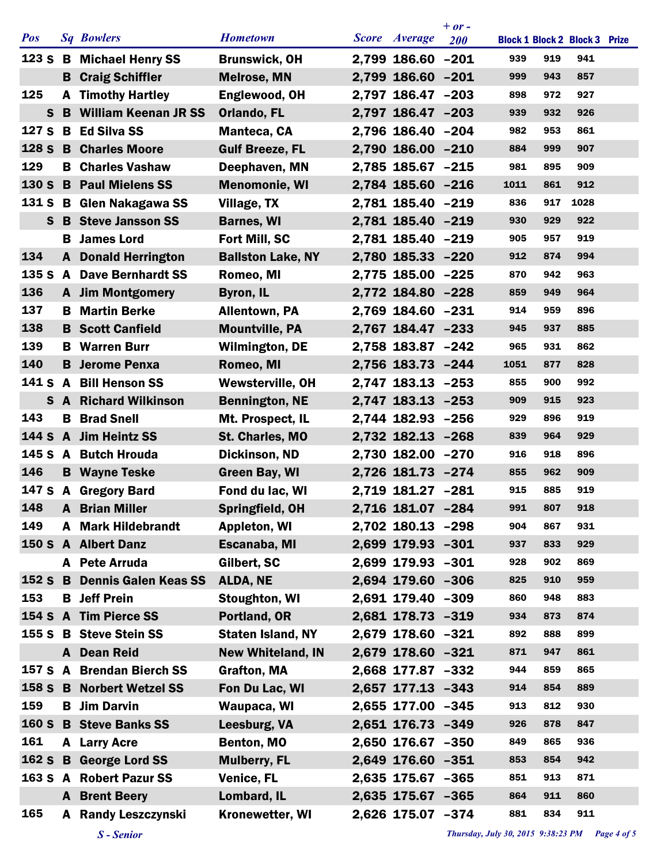|              |    |                               |                          |                   | $+ or -$   |                                      |     |      |  |
|--------------|----|-------------------------------|--------------------------|-------------------|------------|--------------------------------------|-----|------|--|
| <b>Pos</b>   |    | <b>Sq Bowlers</b>             | <b>Hometown</b>          | Score Average     | <b>200</b> | <b>Block 1 Block 2 Block 3 Prize</b> |     |      |  |
|              |    | 123 S B Michael Henry SS      | <b>Brunswick, OH</b>     | 2,799 186.60 -201 |            | 939                                  | 919 | 941  |  |
|              |    | <b>B</b> Craig Schiffler      | <b>Melrose, MN</b>       | 2,799 186.60 -201 |            | 999                                  | 943 | 857  |  |
| 125          | A  | <b>Timothy Hartley</b>        | Englewood, OH            | 2,797 186.47 -203 |            | 898                                  | 972 | 927  |  |
| $\mathbf{s}$ |    | <b>B</b> William Keenan JR SS | <b>Orlando, FL</b>       | 2,797 186.47 -203 |            | 939                                  | 932 | 926  |  |
| 127 S        |    | <b>B</b> Ed Silva SS          | Manteca, CA              | 2,796 186.40 -204 |            | 982                                  | 953 | 861  |  |
| 128 S        | B  | <b>Charles Moore</b>          | <b>Gulf Breeze, FL</b>   | 2,790 186.00 -210 |            | 884                                  | 999 | 907  |  |
| 129          |    | <b>B</b> Charles Vashaw       | Deephaven, MN            | 2,785 185.67 -215 |            | 981                                  | 895 | 909  |  |
| 130 S        |    | <b>B</b> Paul Mielens SS      | <b>Menomonie, WI</b>     | 2,784 185.60 -216 |            | 1011                                 | 861 | 912  |  |
| 131 S        | B  | Glen Nakagawa SS              | <b>Village, TX</b>       | 2,781 185.40 -219 |            | 836                                  | 917 | 1028 |  |
| S            |    | <b>B</b> Steve Jansson SS     | <b>Barnes, WI</b>        | 2,781 185.40 -219 |            | 930                                  | 929 | 922  |  |
|              | в  | <b>James Lord</b>             | Fort Mill, SC            | 2,781 185.40 -219 |            | 905                                  | 957 | 919  |  |
| 134          |    | <b>A</b> Donald Herrington    | <b>Ballston Lake, NY</b> | 2,780 185.33 -220 |            | 912                                  | 874 | 994  |  |
| 135 S        |    | <b>A</b> Dave Bernhardt SS    | Romeo, MI                | 2,775 185.00 -225 |            | 870                                  | 942 | 963  |  |
| 136          |    | <b>A</b> Jim Montgomery       | <b>Byron, IL</b>         | 2,772 184.80 -228 |            | 859                                  | 949 | 964  |  |
| 137          | B  | <b>Martin Berke</b>           | <b>Allentown, PA</b>     | 2,769 184.60 -231 |            | 914                                  | 959 | 896  |  |
| 138          |    | <b>B</b> Scott Canfield       | <b>Mountville, PA</b>    | 2,767 184.47 -233 |            | 945                                  | 937 | 885  |  |
| 139          | в  | <b>Warren Burr</b>            | <b>Wilmington, DE</b>    | 2,758 183.87 -242 |            | 965                                  | 931 | 862  |  |
| 140          | B. | <b>Jerome Penxa</b>           | Romeo, MI                | 2,756 183.73 -244 |            | 1051                                 | 877 | 828  |  |
| 141 S A      |    | <b>Bill Henson SS</b>         | <b>Wewsterville, OH</b>  | 2,747 183.13 -253 |            | 855                                  | 900 | 992  |  |
| $\mathbf{s}$ |    | <b>A</b> Richard Wilkinson    | <b>Bennington, NE</b>    | 2,747 183.13 -253 |            | 909                                  | 915 | 923  |  |
| 143          | в  | <b>Brad Snell</b>             | Mt. Prospect, IL         | 2,744 182.93 -256 |            | 929                                  | 896 | 919  |  |
| 144 S        |    | A Jim Heintz SS               | St. Charles, MO          | 2,732 182.13 -268 |            | 839                                  | 964 | 929  |  |
|              |    | 145 S A Butch Hrouda          | Dickinson, ND            | 2,730 182.00 -270 |            | 916                                  | 918 | 896  |  |
| 146          |    | <b>B</b> Wayne Teske          | <b>Green Bay, WI</b>     | 2,726 181.73 -274 |            | 855                                  | 962 | 909  |  |
|              |    | 147 S A Gregory Bard          | Fond du lac, WI          | 2,719 181.27 -281 |            | 915                                  | 885 | 919  |  |
| 148          |    | <b>A</b> Brian Miller         | Springfield, OH          | 2,716 181.07 -284 |            | 991                                  | 807 | 918  |  |
| 149          |    | <b>A</b> Mark Hildebrandt     | <b>Appleton, WI</b>      | 2,702 180.13 -298 |            | 904                                  | 867 | 931  |  |
|              |    | 150 S A Albert Danz           | Escanaba, MI             | 2,699 179.93 -301 |            | 937                                  | 833 | 929  |  |
|              |    | A Pete Arruda                 | Gilbert, SC              | 2,699 179.93 -301 |            | 928                                  | 902 | 869  |  |
|              |    | 152 S B Dennis Galen Keas SS  | <b>ALDA, NE</b>          | 2,694 179.60 -306 |            | 825                                  | 910 | 959  |  |
| 153          |    | <b>B</b> Jeff Prein           | <b>Stoughton, WI</b>     | 2,691 179.40 -309 |            | 860                                  | 948 | 883  |  |
|              |    | 154 S A Tim Pierce SS         | Portland, OR             | 2,681 178.73 -319 |            | 934                                  | 873 | 874  |  |
|              |    | 155 S B Steve Stein SS        | <b>Staten Island, NY</b> | 2,679 178.60 -321 |            | 892                                  | 888 | 899  |  |
|              |    | A Dean Reid                   | <b>New Whiteland, IN</b> | 2,679 178.60 -321 |            | 871                                  | 947 | 861  |  |
|              |    | 157 S A Brendan Bierch SS     | <b>Grafton, MA</b>       | 2,668 177.87 -332 |            | 944                                  | 859 | 865  |  |
|              |    | 158 S B Norbert Wetzel SS     | Fon Du Lac, WI           | 2,657 177.13 -343 |            | 914                                  | 854 | 889  |  |
| 159          | В  | <b>Jim Darvin</b>             | Waupaca, WI              | 2,655 177.00 -345 |            | 913                                  | 812 | 930  |  |
| <b>160 S</b> |    | <b>B</b> Steve Banks SS       | Leesburg, VA             | 2,651 176.73 -349 |            | 926                                  | 878 | 847  |  |
| 161          |    | A Larry Acre                  | Benton, MO               | 2,650 176.67 -350 |            | 849                                  | 865 | 936  |  |
| 162 S        |    | <b>B</b> George Lord SS       | <b>Mulberry, FL</b>      | 2,649 176.60 -351 |            | 853                                  | 854 | 942  |  |
|              |    | 163 S A Robert Pazur SS       | <b>Venice, FL</b>        | 2,635 175.67 -365 |            | 851                                  | 913 | 871  |  |
|              |    | <b>A</b> Brent Beery          | Lombard, IL              | 2,635 175.67 -365 |            | 864                                  | 911 | 860  |  |
| 165          | A  | <b>Randy Leszczynski</b>      | <b>Kronewetter, WI</b>   | 2,626 175.07 -374 |            | 881                                  | 834 | 911  |  |